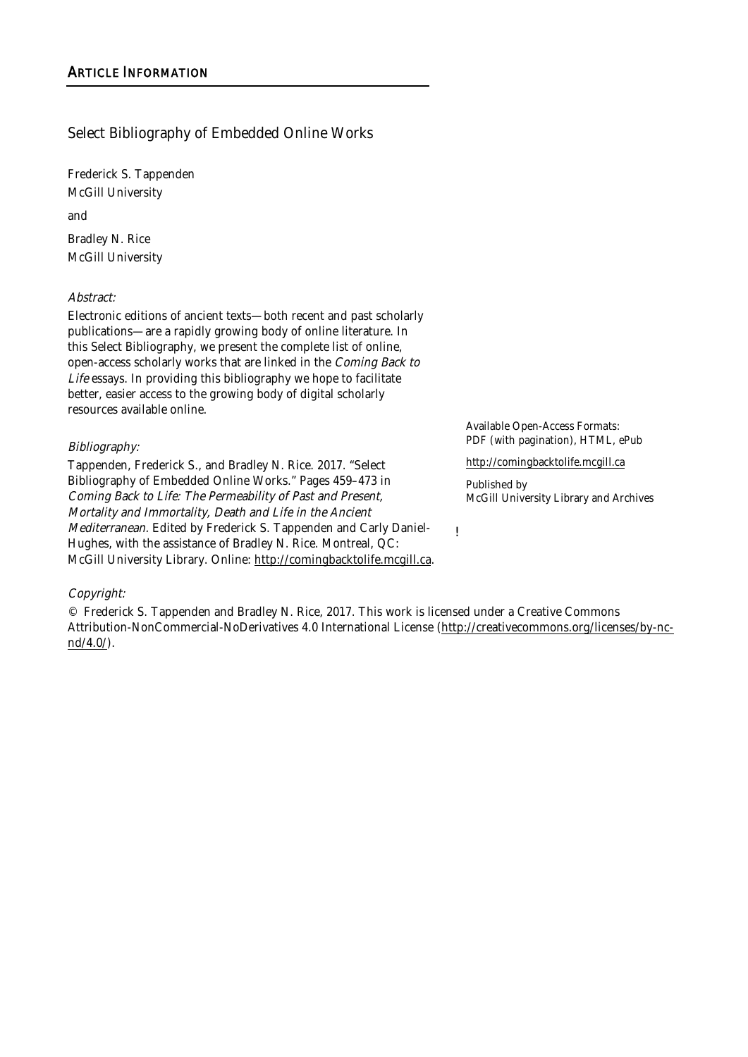# Select Bibliography of Embedded Online Works

Frederick S. Tappenden McGill University

and

Bradley N. Rice McGill University

#### Abstract:

Electronic editions of ancient texts—both recent and past scholarly publications—are a rapidly growing body of online literature. In this Select Bibliography, we present the complete list of online, open-access scholarly works that are linked in the Coming Back to Life essays. In providing this bibliography we hope to facilitate better, easier access to the growing body of digital scholarly resources available online.

#### Bibliography:

Tappenden, Frederick S., and Bradley N. Rice. 2017. "Select Bibliography of Embedded Online Works." Pages 459–473 in Coming Back to Life: The Permeability of Past and Present, Mortality and Immortality, Death and Life in the Ancient Mediterranean. Edited by Frederick S. Tappenden and Carly Daniel-Hughes, with the assistance of Bradley N. Rice. Montreal, QC: McGill University Library. Online: http://comingbacktolife.mcgill.ca. Available Open-Access Formats: PDF (with pagination), HTML, ePub

http://comingbacktolife.mcgill.ca

Published by McGill University Library and Archives

!

#### Copyright:

© Frederick S. Tappenden and Bradley N. Rice, 2017. This work is licensed under a Creative Commons Attribution-NonCommercial-NoDerivatives 4.0 International License (http://creativecommons.org/licenses/by-ncnd/4.0/).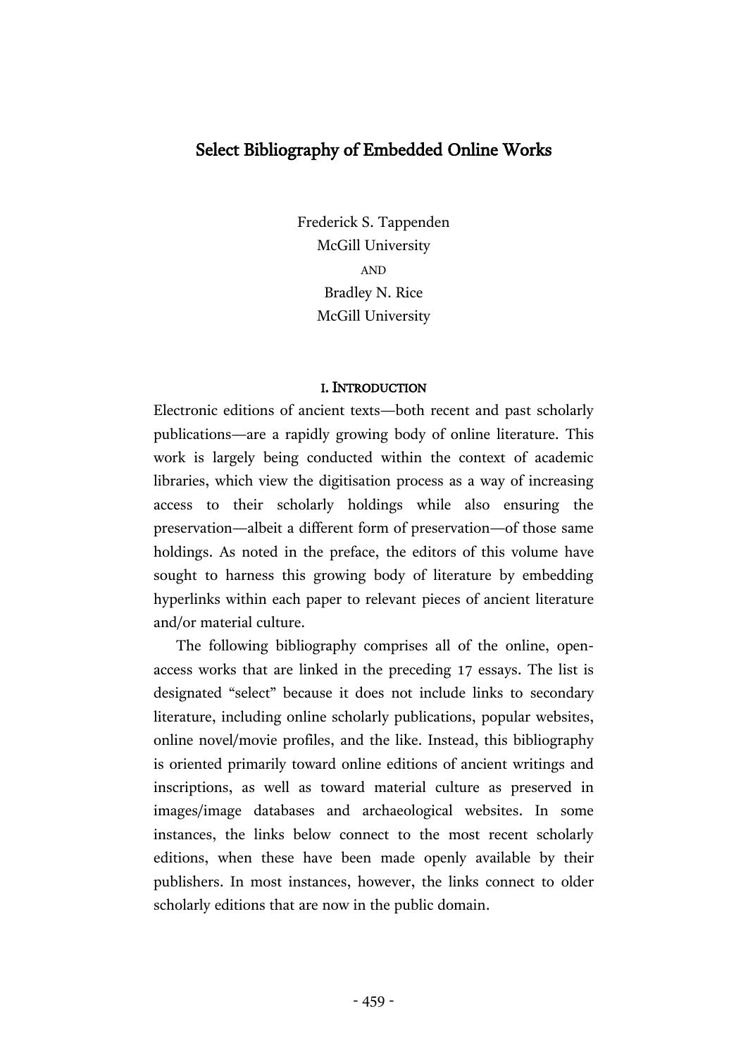# Select Bibliography of Embedded Online Works

Frederick S. Tappenden McGill University AND Bradley N. Rice McGill University

#### I. INTRODUCTION

Electronic editions of ancient texts—both recent and past scholarly publications—are a rapidly growing body of online literature. This work is largely being conducted within the context of academic libraries, which view the digitisation process as a way of increasing access to their scholarly holdings while also ensuring the preservation—albeit a different form of preservation—of those same holdings. As noted in the preface, the editors of this volume have sought to harness this growing body of literature by embedding hyperlinks within each paper to relevant pieces of ancient literature and/or material culture.

The following bibliography comprises all of the online, openaccess works that are linked in the preceding 17 essays. The list is designated "select" because it does not include links to secondary literature, including online scholarly publications, popular websites, online novel/movie profiles, and the like. Instead, this bibliography is oriented primarily toward online editions of ancient writings and inscriptions, as well as toward material culture as preserved in images/image databases and archaeological websites. In some instances, the links below connect to the most recent scholarly editions, when these have been made openly available by their publishers. In most instances, however, the links connect to older scholarly editions that are now in the public domain.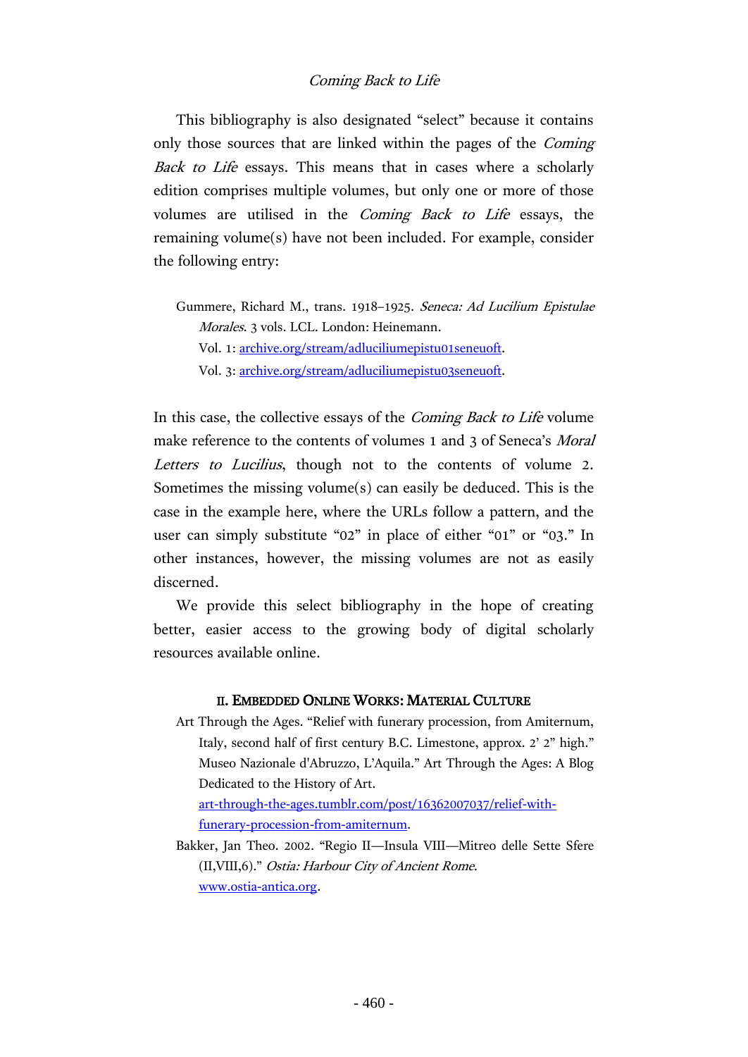## Coming Back to Life

This bibliography is also designated "select" because it contains only those sources that are linked within the pages of the Coming Back to Life essays. This means that in cases where a scholarly edition comprises multiple volumes, but only one or more of those volumes are utilised in the Coming Back to Life essays, the remaining volume(s) have not been included. For example, consider the following entry:

Gummere, Richard M., trans. 1918–1925. Seneca: Ad Lucilium Epistulae Morales. 3 vols. LCL. London: Heinemann. Vol. 1: [archive.org/stream/adluciliumepistu01seneuoft.](https://archive.org/stream/adluciliumepistu01seneuoft) Vol. 3: [archive.org/stream/adluciliumepistu03seneuoft.](https://archive.org/stream/adluciliumepistu03seneuoft)

In this case, the collective essays of the Coming Back to Life volume make reference to the contents of volumes 1 and 3 of Seneca's *Moral* Letters to Lucilius, though not to the contents of volume 2. Sometimes the missing volume(s) can easily be deduced. This is the case in the example here, where the URLs follow a pattern, and the user can simply substitute "02" in place of either "01" or "03." In other instances, however, the missing volumes are not as easily discerned.

We provide this select bibliography in the hope of creating better, easier access to the growing body of digital scholarly resources available online.

#### II. EMBEDDED ONLINE WORKS: MATERIAL CULTURE

Art Through the Ages. "Relief with funerary procession, from Amiternum, Italy, second half of first century B.C. Limestone, approx. 2' 2" high." Museo Nazionale d'Abruzzo, L'Aquila." Art Through the Ages: A Blog Dedicated to the History of Art.

[art-through-the-ages.tumblr.com/post/16362007037/relief-with](http://art-through-the-ages.tumblr.com/post/16362007037/relief-with-funerary-procession-from-amiternum)[funerary-procession-from-amiternum.](http://art-through-the-ages.tumblr.com/post/16362007037/relief-with-funerary-procession-from-amiternum)

Bakker, Jan Theo. 2002. "Regio II—Insula VIII—Mitreo delle Sette Sfere (II,VIII,6)." Ostia: Harbour City of Ancient Rome. [www.ostia-antica.org.](http://www.ostia-antica.org/)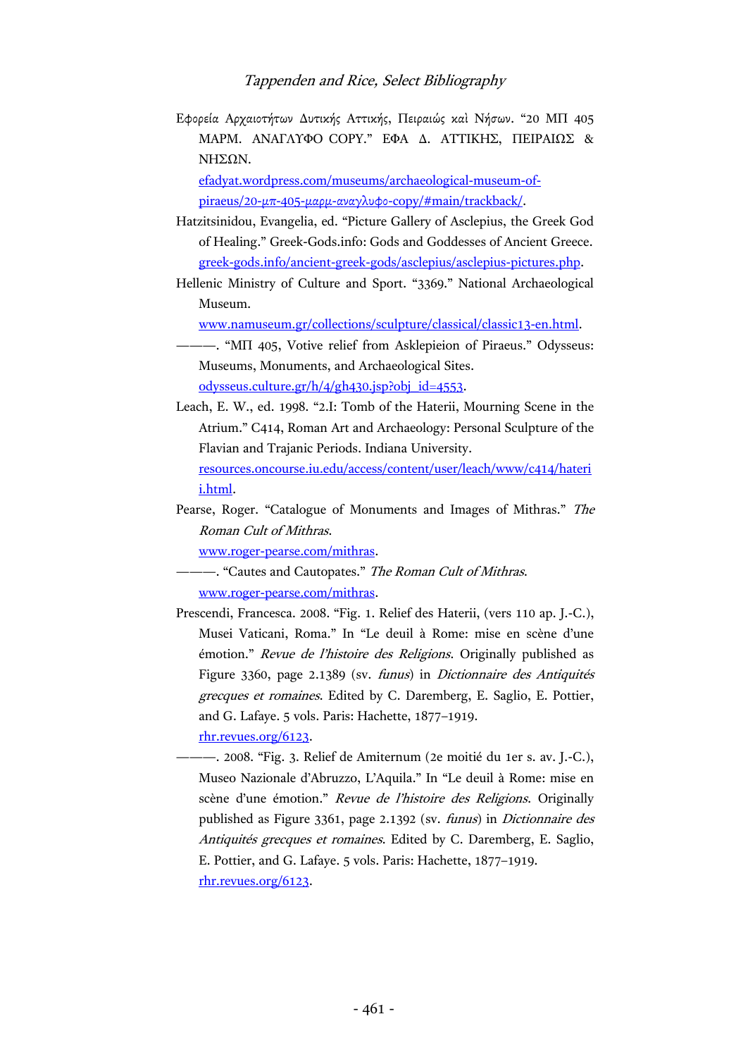Εφορεία Αρχαιοτήτων Δυτικής Αττικής, Πειραιώς καὶ Νήσων. "20 ΜΠ 405 ΜΑΡΜ. ΑΝΑΓΛΥΦΟ COPY." ΕΦΑ Δ. ΑΤΤΙΚΗΣ, ΠΕΙΡΑΙΩΣ & ΝΗΣΩΝ.

[efadyat.wordpress.com/museums/archaeological-museum-of](https://efadyat.wordpress.com/museums/archaeological-museum-of-piraeus/20-%CE%BC%CF%80-405-%CE%BC%CE%B1%CF%81%CE%BC-%CE%B1%CE%BD%CE%B1%CE%B3%CE%BB%CF%85%CF%86%CE%BF-copy/)piraeus/20-μπ-405-μαρμ-αναγλυφο[-copy/#main/trackback/.](https://efadyat.wordpress.com/museums/archaeological-museum-of-piraeus/20-%CE%BC%CF%80-405-%CE%BC%CE%B1%CF%81%CE%BC-%CE%B1%CE%BD%CE%B1%CE%B3%CE%BB%CF%85%CF%86%CE%BF-copy/)

- Hatzitsinidou, Evangelia, ed. "Picture Gallery of Asclepius, the Greek God of Healing." Greek-Gods.info: Gods and Goddesses of Ancient Greece. [greek-gods.info/ancient-greek-gods/asclepius/asclepius-pictures.php.](http://greek-gods.info/ancient-greek-gods/asclepius/asclepius-pictures.php)
- Hellenic Ministry of Culture and Sport. "3369." National Archaeological Museum.

[www.namuseum.gr/collections/sculpture/classical/classic13-en.html.](http://www.namuseum.gr/collections/sculpture/classical/classic13-en.html)

- ———. "ΜΠ 405, Votive relief from Asklepieion of Piraeus." Odysseus: Museums, Monuments, and Archaeological Sites. [odysseus.culture.gr/h/4/gh430.jsp?obj\\_id=4553.](http://odysseus.culture.gr/h/4/gh430.jsp?obj_id=4553)
- Leach, E. W., ed. 1998. "2.I: Tomb of the Haterii, Mourning Scene in the Atrium." C414, Roman Art and Archaeology: Personal Sculpture of the Flavian and Trajanic Periods. Indiana University. [resources.oncourse.iu.edu/access/content/user/leach/www/c414/hateri](https://resources.oncourse.iu.edu/access/content/user/leach/www/c414/haterii.html) [i.html.](https://resources.oncourse.iu.edu/access/content/user/leach/www/c414/haterii.html)
- Pearse, Roger. "Catalogue of Monuments and Images of Mithras." The Roman Cult of Mithras.

[www.roger-pearse.com/mithras.](http://www.roger-pearse.com/mithras)

- -. "Cautes and Cautopates." The Roman Cult of Mithras. [www.roger-pearse.com/mithras.](http://www.roger-pearse.com/mithras)
- Prescendi, Francesca. 2008. "Fig. 1. Relief des Haterii, (vers 110 ap. J.-C.), Musei Vaticani, Roma." In "Le deuil à Rome: mise en scène d'une émotion." Revue de l'histoire des Religions. Originally published as Figure 3360, page 2.1389 (sv. funus) in Dictionnaire des Antiquités grecques et romaines. Edited by C. Daremberg, E. Saglio, E. Pottier, and G. Lafaye. 5 vols. Paris: Hachette, 1877–1919.

[rhr.revues.org/6123.](http://rhr.revues.org/6123)

———. 2008. "Fig. 3. Relief de Amiternum (2e moitié du 1er s. av. J.-C.), Museo Nazionale d'Abruzzo, L'Aquila." In "Le deuil à Rome: mise en scène d'une émotion." Revue de l'histoire des Religions. Originally published as Figure 3361, page 2.1392 (sv. funus) in Dictionnaire des Antiquités grecques et romaines. Edited by C. Daremberg, E. Saglio, E. Pottier, and G. Lafaye. 5 vols. Paris: Hachette, 1877–1919. rhr.revues.org/6123.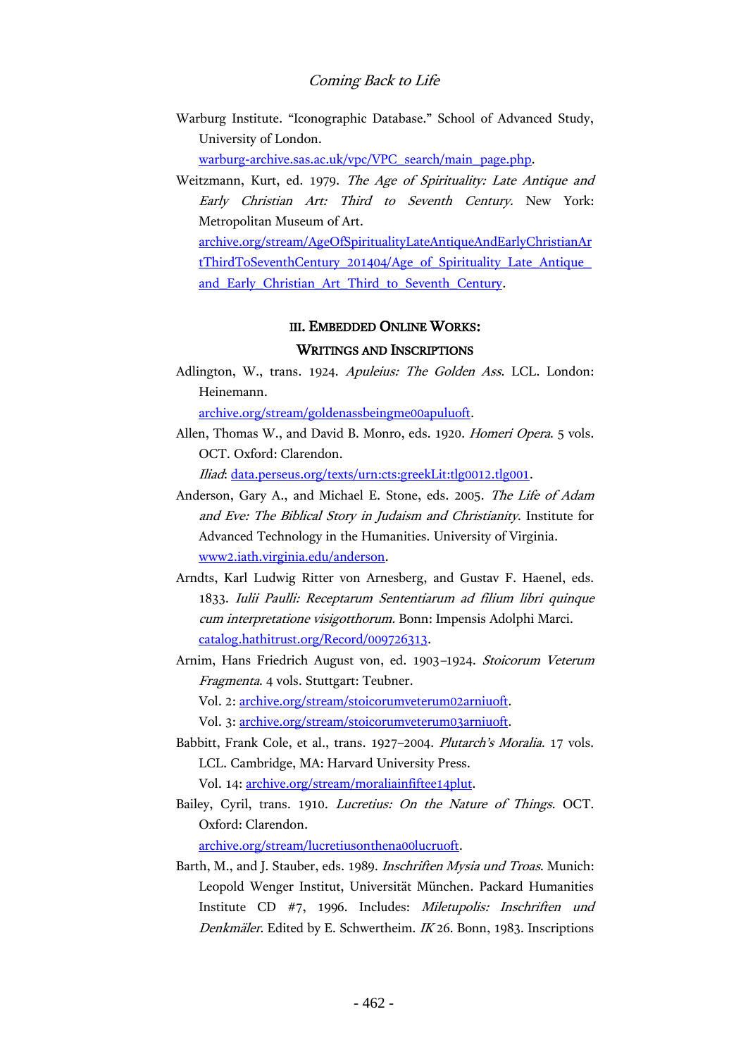#### Coming Back to Life

Warburg Institute. "Iconographic Database." School of Advanced Study, University of London.

[warburg-archive.sas.ac.uk/vpc/VPC\\_search/main\\_page.php.](http://warburg-archive.sas.ac.uk/vpc/VPC_search/main_page.php)

Weitzmann, Kurt, ed. 1979. The Age of Spirituality: Late Antique and Early Christian Art: Third to Seventh Century. New York: Metropolitan Museum of Art.

[archive.org/stream/AgeOfSpiritualityLateAntiqueAndEarlyChristianAr](https://archive.org/stream/AgeOfSpiritualityLateAntiqueAndEarlyChristianArtThirdToSeventhCentury_201404/Age_of_Spirituality_Late_Antique_and_Early_Christian_Art_Third_to_Seventh_Century) [tThirdToSeventhCentury\\_201404/Age\\_of\\_Spirituality\\_Late\\_Antique\\_](https://archive.org/stream/AgeOfSpiritualityLateAntiqueAndEarlyChristianArtThirdToSeventhCentury_201404/Age_of_Spirituality_Late_Antique_and_Early_Christian_Art_Third_to_Seventh_Century) and Early Christian Art Third to Seventh Century.

# III. EMBEDDED ONLINE WORKS:

## WRITINGS AND INSCRIPTIONS

Adlington, W., trans. 1924. Apuleius: The Golden Ass. LCL. London: Heinemann.

[archive.org/stream/goldenassbeingme00apuluoft.](https://archive.org/stream/goldenassbeingme00apuluoft)

Allen, Thomas W., and David B. Monro, eds. 1920. Homeri Opera. 5 vols. OCT. Oxford: Clarendon.

Iliad: [data.perseus.org/texts/urn:cts:greekLit:tlg0012.tlg001.](http://data.perseus.org/texts/urn:cts:greekLit:tlg0012.tlg001)

- Anderson, Gary A., and Michael E. Stone, eds. 2005. The Life of Adam and Eve: The Biblical Story in Judaism and Christianity. Institute for Advanced Technology in the Humanities. University of Virginia. [www2.iath.virginia.edu/anderson.](http://www2.iath.virginia.edu/anderson/)
- Arndts, Karl Ludwig Ritter von Arnesberg, and Gustav F. Haenel, eds. 1833. Iulii Paulli: Receptarum Sententiarum ad filium libri quinque cum interpretatione visigotthorum. Bonn: Impensis Adolphi Marci. [catalog.hathitrust.org/Record/009726313.](https://catalog.hathitrust.org/Record/009726313)
- Arnim, Hans Friedrich August von, ed. 1903–1924. Stoicorum Veterum Fragmenta. 4 vols. Stuttgart: Teubner.

Vol. 2: [archive.org/stream/stoicorumveterum02arniuoft.](https://archive.org/stream/stoicorumveterum02arniuoft)

Vol. 3: [archive.org/stream/stoicorumveterum03arniuoft.](https://archive.org/stream/stoicorumveterum03arniuoft)

- Babbitt, Frank Cole, et al., trans. 1927–2004. Plutarch's Moralia. 17 vols. LCL. Cambridge, MA: Harvard University Press. Vol. 14: [archive.org/stream/moraliainfiftee14plut.](https://archive.org/stream/moraliainfiftee14plut)
- Bailey, Cyril, trans. 1910. Lucretius: On the Nature of Things. OCT. Oxford: Clarendon.

[archive.org/stream/lucretiusonthena00lucruoft.](https://archive.org/stream/lucretiusonthena00lucruoft)

Barth, M., and J. Stauber, eds. 1989. Inschriften Mysia und Troas. Munich: Leopold Wenger Institut, Universität München. Packard Humanities Institute CD #7, 1996. Includes: Miletupolis: Inschriften und Denkmäler. Edited by E. Schwertheim. IK 26. Bonn, 1983. Inscriptions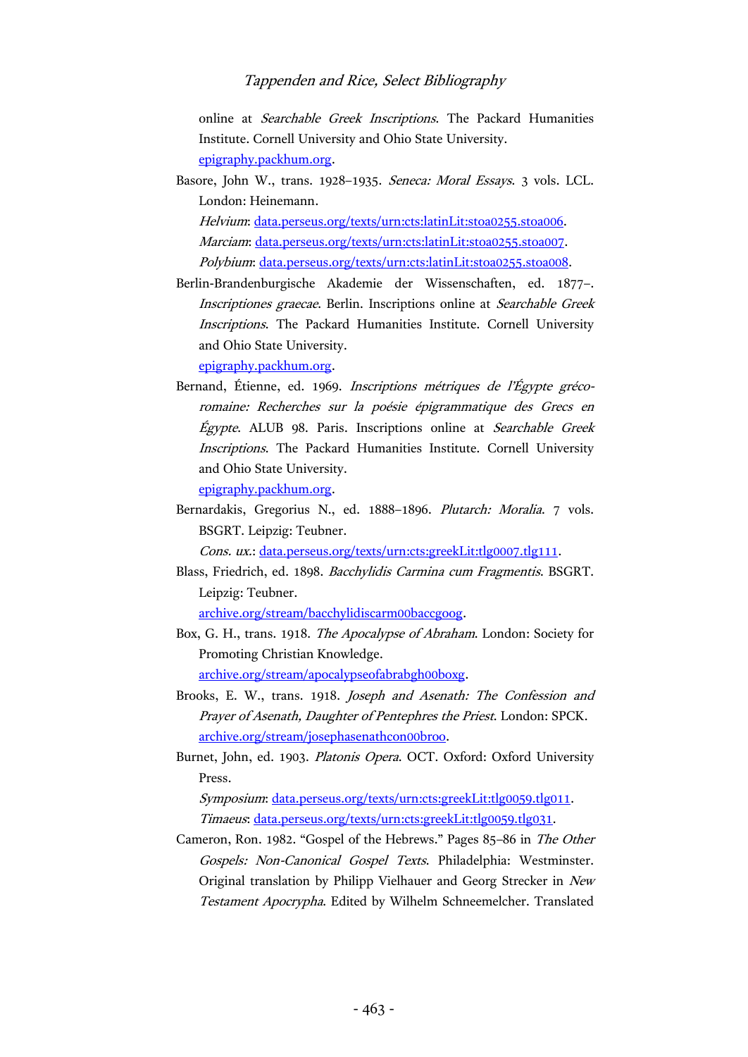online at Searchable Greek Inscriptions. The Packard Humanities Institute. Cornell University and Ohio State University. [epigraphy.packhum.org.](http://epigraphy.packhum.org/)

Basore, John W., trans. 1928–1935. Seneca: Moral Essays. 3 vols. LCL. London: Heinemann.

Helvium: [data.perseus.org/texts/urn:cts:latinLit:stoa0255.stoa006.](http://data.perseus.org/texts/urn:cts:latinLit:stoa0255.stoa006) Marciam: [data.perseus.org/texts/urn:cts:latinLit:stoa0255.stoa007.](http://data.perseus.org/texts/urn:cts:latinLit:stoa0255.stoa007) Polybium: [data.perseus.org/texts/urn:cts:latinLit:stoa0255.stoa008.](http://data.perseus.org/texts/urn:cts:latinLit:stoa0255.stoa008)

Berlin-Brandenburgische Akademie der Wissenschaften, ed. 1877–. Inscriptiones graecae. Berlin. Inscriptions online at Searchable Greek Inscriptions. The Packard Humanities Institute. Cornell University and Ohio State University.

[epigraphy.packhum.org.](http://epigraphy.packhum.org/)

Bernand, Étienne, ed. 1969. Inscriptions métriques de l'Égypte grécoromaine: Recherches sur la poésie épigrammatique des Grecs en Égypte. ALUB 98. Paris. Inscriptions online at Searchable Greek Inscriptions. The Packard Humanities Institute. Cornell University and Ohio State University.

[epigraphy.packhum.org.](http://epigraphy.packhum.org/)

Bernardakis, Gregorius N., ed. 1888–1896. Plutarch: Moralia. 7 vols. BSGRT. Leipzig: Teubner.

Cons. ux.: [data.perseus.org/texts/urn:cts:greekLit:tlg0007.tlg111.](http://data.perseus.org/texts/urn:cts:greekLit:tlg0007.tlg111)

Blass, Friedrich, ed. 1898. Bacchylidis Carmina cum Fragmentis. BSGRT. Leipzig: Teubner.

[archive.org/stream/bacchylidiscarm00baccgoog.](https://archive.org/stream/bacchylidiscarm00baccgoog)

- Box, G. H., trans. 1918. The Apocalypse of Abraham. London: Society for Promoting Christian Knowledge. [archive.org/stream/apocalypseofabrabgh00boxg.](https://archive.org/stream/apocalypseofabrabgh00boxg)
- Brooks, E. W., trans. 1918. Joseph and Asenath: The Confession and Prayer of Asenath, Daughter of Pentephres the Priest. London: SPCK. [archive.org/stream/josephasenathcon00broo.](https://archive.org/stream/josephasenathcon00broo)
- Burnet, John, ed. 1903. Platonis Opera. OCT. Oxford: Oxford University Press.

Symposium: [data.perseus.org/texts/urn:cts:greekLit:tlg0059.tlg011.](http://data.perseus.org/texts/urn:cts:greekLit:tlg0059.tlg011) Timaeus: [data.perseus.org/texts/urn:cts:greekLit:tlg0059.tlg031.](http://data.perseus.org/texts/urn:cts:greekLit:tlg0059.tlg031)

Cameron, Ron. 1982. "Gospel of the Hebrews." Pages 85–86 in The Other Gospels: Non-Canonical Gospel Texts. Philadelphia: Westminster. Original translation by Philipp Vielhauer and Georg Strecker in New Testament Apocrypha. Edited by Wilhelm Schneemelcher. Translated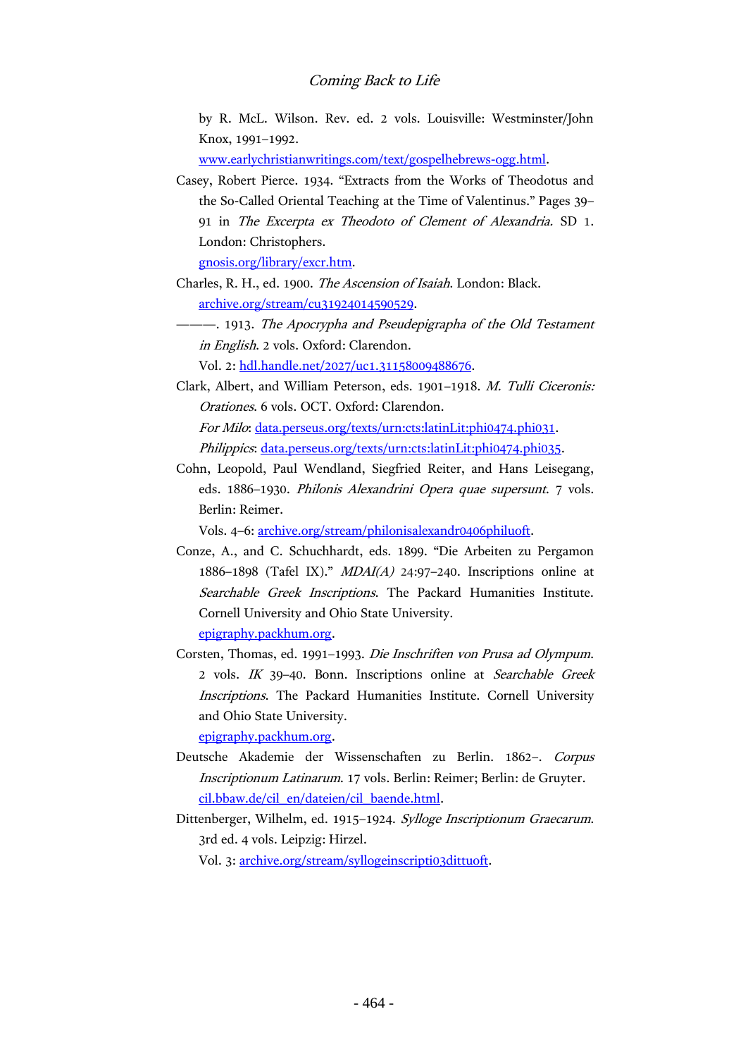#### Coming Back to Life

by R. McL. Wilson. Rev. ed. 2 vols. Louisville: Westminster/John Knox, 1991–1992.

[www.earlychristianwritings.com/text/gospelhebrews-ogg.html.](http://www.earlychristianwritings.com/text/gospelhebrews-ogg.html)

Casey, Robert Pierce. 1934. "Extracts from the Works of Theodotus and the So-Called Oriental Teaching at the Time of Valentinus." Pages 39– 91 in The Excerpta ex Theodoto of Clement of Alexandria. SD 1. London: Christophers.

[gnosis.org/library/excr.htm.](http://gnosis.org/library/excr.htm)

Charles, R. H., ed. 1900. The Ascension of Isaiah. London: Black. [archive.org/stream/cu31924014590529.](https://archive.org/stream/cu31924014590529)

-- 1913. The Apocrypha and Pseudepigrapha of the Old Testament in English. 2 vols. Oxford: Clarendon.

Vol. 2: [hdl.handle.net/2027/uc1.31158009488676.](http://hdl.handle.net/2027/uc1.31158009488676)

Clark, Albert, and William Peterson, eds. 1901–1918. M. Tulli Ciceronis: Orationes. 6 vols. OCT. Oxford: Clarendon. For Milo: [data.perseus.org/texts/urn:cts:latinLit:phi0474.phi031.](http://data.perseus.org/texts/urn:cts:latinLit:phi0474.phi031) Philippics[: data.perseus.org/texts/urn:cts:latinLit:phi0474.phi035.](http://data.perseus.org/texts/urn:cts:latinLit:phi0474.phi035)

Cohn, Leopold, Paul Wendland, Siegfried Reiter, and Hans Leisegang, eds. 1886–1930. Philonis Alexandrini Opera quae supersunt. 7 vols. Berlin: Reimer.

Vols. 4–6: [archive.org/stream/philonisalexandr0406philuoft.](https://archive.org/stream/philonisalexandr0406philuoft)

- Conze, A., and C. Schuchhardt, eds. 1899. "Die Arbeiten zu Pergamon 1886–1898 (Tafel IX)."  $MDAI(A)$  24:97–240. Inscriptions online at Searchable Greek Inscriptions. The Packard Humanities Institute. Cornell University and Ohio State University. [epigraphy.packhum.org.](http://epigraphy.packhum.org/)
- Corsten, Thomas, ed. 1991–1993. Die Inschriften von Prusa ad Olympum. 2 vols. IK 39–40. Bonn. Inscriptions online at Searchable Greek Inscriptions. The Packard Humanities Institute. Cornell University and Ohio State University.

[epigraphy.packhum.org.](http://epigraphy.packhum.org/)

- Deutsche Akademie der Wissenschaften zu Berlin. 1862–. Corpus Inscriptionum Latinarum. 17 vols. Berlin: Reimer; Berlin: de Gruyter. [cil.bbaw.de/cil\\_en/dateien/cil\\_baende.html.](http://cil.bbaw.de/cil_en/dateien/cil_baende.html)
- Dittenberger, Wilhelm, ed. 1915–1924. Sylloge Inscriptionum Graecarum. 3rd ed. 4 vols. Leipzig: Hirzel. Vol. 3: [archive.org/stream/syllogeinscripti03dittuoft.](https://archive.org/stream/syllogeinscripti03dittuoft)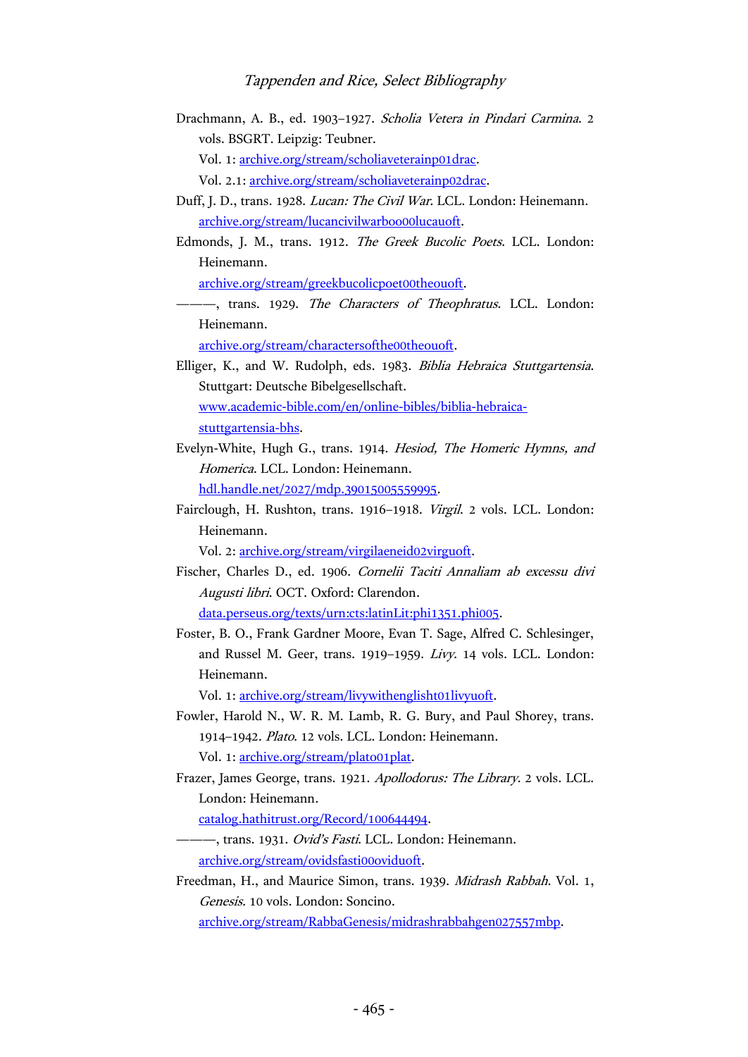Drachmann, A. B., ed. 1903–1927. Scholia Vetera in Pindari Carmina. 2 vols. BSGRT. Leipzig: Teubner.

Vol. 1: [archive.org/stream/scholiaveterainp01drac.](https://archive.org/stream/scholiaveterainp01drac)

Vol. 2.1[: archive.org/stream/scholiaveterainp02drac.](https://archive.org/stream/scholiaveterainp02drac)

- Duff, J. D., trans. 1928. Lucan: The Civil War. LCL. London: Heinemann. [archive.org/stream/lucancivilwarboo00lucauoft.](https://archive.org/stream/lucancivilwarboo00lucauoft)
- Edmonds, J. M., trans. 1912. The Greek Bucolic Poets. LCL. London: Heinemann.

[archive.org/stream/greekbucolicpoet00theouoft.](https://archive.org/stream/greekbucolicpoet00theouoft)

-, trans. 1929. The Characters of Theophratus. LCL. London: Heinemann.

[archive.org/stream/charactersofthe00theouoft.](https://archive.org/stream/charactersofthe00theouoft)

Elliger, K., and W. Rudolph, eds. 1983. Biblia Hebraica Stuttgartensia. Stuttgart: Deutsche Bibelgesellschaft. [www.academic-bible.com/en/online-bibles/biblia-hebraica](http://www.academic-bible.com/en/online-bibles/biblia-hebraica-stuttgartensia-bhs)[stuttgartensia-bhs.](http://www.academic-bible.com/en/online-bibles/biblia-hebraica-stuttgartensia-bhs)

Evelyn-White, Hugh G., trans. 1914. Hesiod, The Homeric Hymns, and Homerica. LCL. London: Heinemann. [hdl.handle.net/2027/mdp.39015005559995.](http://hdl.handle.net/2027/mdp.39015005559995)

Fairclough, H. Rushton, trans. 1916–1918. Virgil. 2 vols. LCL. London:

Heinemann.

Vol. 2: [archive.org/stream/virgilaeneid02virguoft.](https://archive.org/stream/virgilaeneid02virguoft)

Fischer, Charles D., ed. 1906. Cornelii Taciti Annaliam ab excessu divi Augusti libri. OCT. Oxford: Clarendon.

[data.perseus.org/texts/urn:cts:latinLit:phi1351.phi005.](http://data.perseus.org/texts/urn:cts:latinLit:phi1351.phi005)

Foster, B. O., Frank Gardner Moore, Evan T. Sage, Alfred C. Schlesinger, and Russel M. Geer, trans. 1919–1959. Livy. 14 vols. LCL. London: Heinemann.

Vol. 1: [archive.org/stream/livywithenglisht01livyuoft.](https://archive.org/stream/livywithenglisht01livyuoft)

- Fowler, Harold N., W. R. M. Lamb, R. G. Bury, and Paul Shorey, trans. 1914–1942. Plato. 12 vols. LCL. London: Heinemann. Vol. 1: [archive.org/stream/plato01plat.](https://archive.org/stream/plato01plat)
- Frazer, James George, trans. 1921. Apollodorus: The Library. 2 vols. LCL. London: Heinemann.

[catalog.hathitrust.org/Record/100644494.](https://catalog.hathitrust.org/Record/100644494)

- -, trans. 1931. Ovid's Fasti. LCL. London: Heinemann. [archive.org/stream/ovidsfasti00oviduoft.](https://archive.org/stream/ovidsfasti00oviduoft)
- Freedman, H., and Maurice Simon, trans. 1939. Midrash Rabbah. Vol. 1, Genesis. 10 vols. London: Soncino.

[archive.org/stream/RabbaGenesis/midrashrabbahgen027557mbp.](https://archive.org/stream/RabbaGenesis/midrashrabbahgen027557mbp)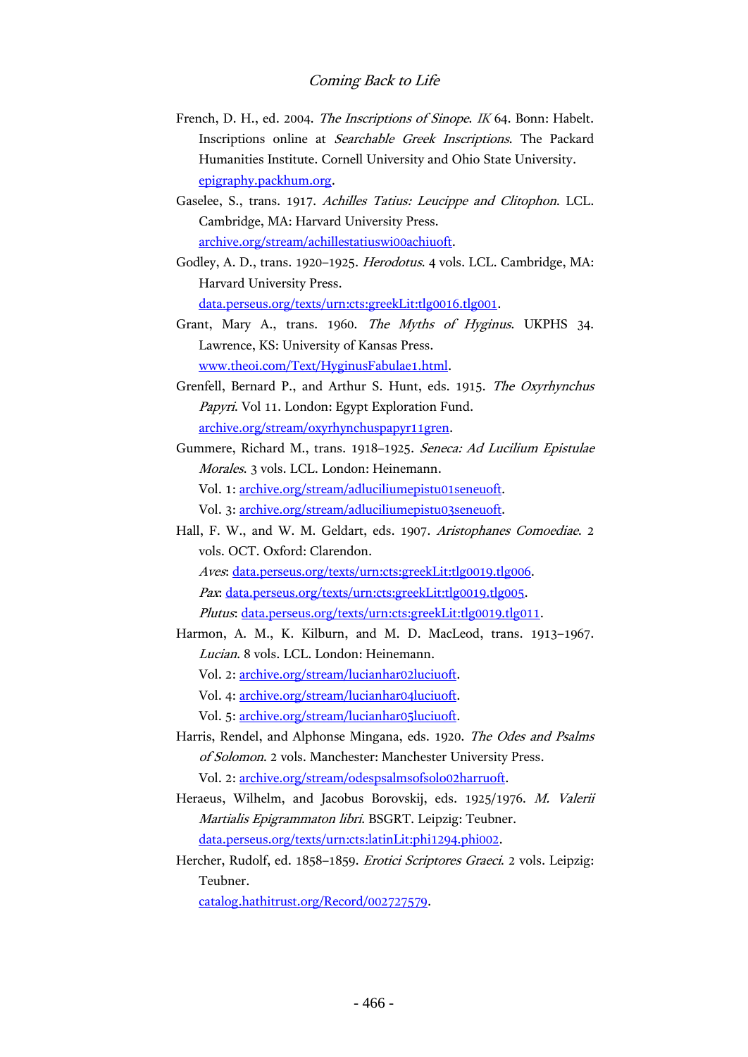- French, D. H., ed. 2004. The Inscriptions of Sinope. IK 64. Bonn: Habelt. Inscriptions online at Searchable Greek Inscriptions. The Packard Humanities Institute. Cornell University and Ohio State University. [epigraphy.packhum.org.](http://epigraphy.packhum.org/)
- Gaselee, S., trans. 1917. Achilles Tatius: Leucippe and Clitophon. LCL. Cambridge, MA: Harvard University Press. [archive.org/stream/achillestatiuswi00achiuoft.](https://archive.org/stream/achillestatiuswi00achiuoft)
- Godley, A. D., trans. 1920–1925. Herodotus. 4 vols. LCL. Cambridge, MA: Harvard University Press. [data.perseus.org/texts/urn:cts:greekLit:tlg0016.tlg001.](http://data.perseus.org/texts/urn:cts:greekLit:tlg0016.tlg001)
- Grant, Mary A., trans. 1960. The Myths of Hyginus. UKPHS 34. Lawrence, KS: University of Kansas Press. [www.theoi.com/Text/HyginusFabulae1.html.](http://www.theoi.com/Text/HyginusFabulae1.html)
- Grenfell, Bernard P., and Arthur S. Hunt, eds. 1915. The Oxyrhynchus Papyri. Vol 11. London: Egypt Exploration Fund. [archive.org/stream/oxyrhynchuspapyr11gren.](https://archive.org/stream/oxyrhynchuspapyr11gren)
- Gummere, Richard M., trans. 1918–1925. Seneca: Ad Lucilium Epistulae Morales. 3 vols. LCL. London: Heinemann. Vol. 1: [archive.org/stream/adluciliumepistu01seneuoft.](https://archive.org/stream/adluciliumepistu01seneuoft) Vol. 3: [archive.org/stream/adluciliumepistu03seneuoft.](https://archive.org/stream/adluciliumepistu03seneuoft)
- Hall, F. W., and W. M. Geldart, eds. 1907. Aristophanes Comoediae. 2 vols. OCT. Oxford: Clarendon. Aves: [data.perseus.org/texts/urn:cts:greekLit:tlg0019.tlg006.](http://data.perseus.org/texts/urn:cts:greekLit:tlg0019.tlg006) Pax: [data.perseus.org/texts/urn:cts:greekLit:tlg0019.tlg005.](http://data.perseus.org/texts/urn:cts:greekLit:tlg0019.tlg005) Plutus: [data.perseus.org/texts/urn:cts:greekLit:tlg0019.tlg011.](http://data.perseus.org/texts/urn:cts:greekLit:tlg0019.tlg011)
- Harmon, A. M., K. Kilburn, and M. D. MacLeod, trans. 1913–1967. Lucian. 8 vols. LCL. London: Heinemann. Vol. 2: [archive.org/stream/lucianhar02luciuoft.](https://archive.org/stream/lucianhar02luciuoft) Vol. 4: [archive.org/stream/lucianhar04luciuoft.](https://archive.org/stream/lucianhar04luciuoft) Vol. 5: [archive.org/stream/lucianhar05luciuoft.](https://archive.org/stream/lucianhar05luciuoft)
- Harris, Rendel, and Alphonse Mingana, eds. 1920. The Odes and Psalms of Solomon. 2 vols. Manchester: Manchester University Press. Vol. 2: [archive.org/stream/odespsalmsofsolo02harruoft.](https://archive.org/stream/odespsalmsofsolo02harruoft)
- Heraeus, Wilhelm, and Jacobus Borovskij, eds. 1925/1976. M. Valerii Martialis Epigrammaton libri. BSGRT. Leipzig: Teubner. [data.perseus.org/texts/urn:cts:latinLit:phi1294.phi002.](http://data.perseus.org/texts/urn:cts:latinLit:phi1294.phi002)
- Hercher, Rudolf, ed. 1858–1859. Erotici Scriptores Graeci. 2 vols. Leipzig: Teubner.

[catalog.hathitrust.org/Record/002727579.](https://catalog.hathitrust.org/Record/002727579)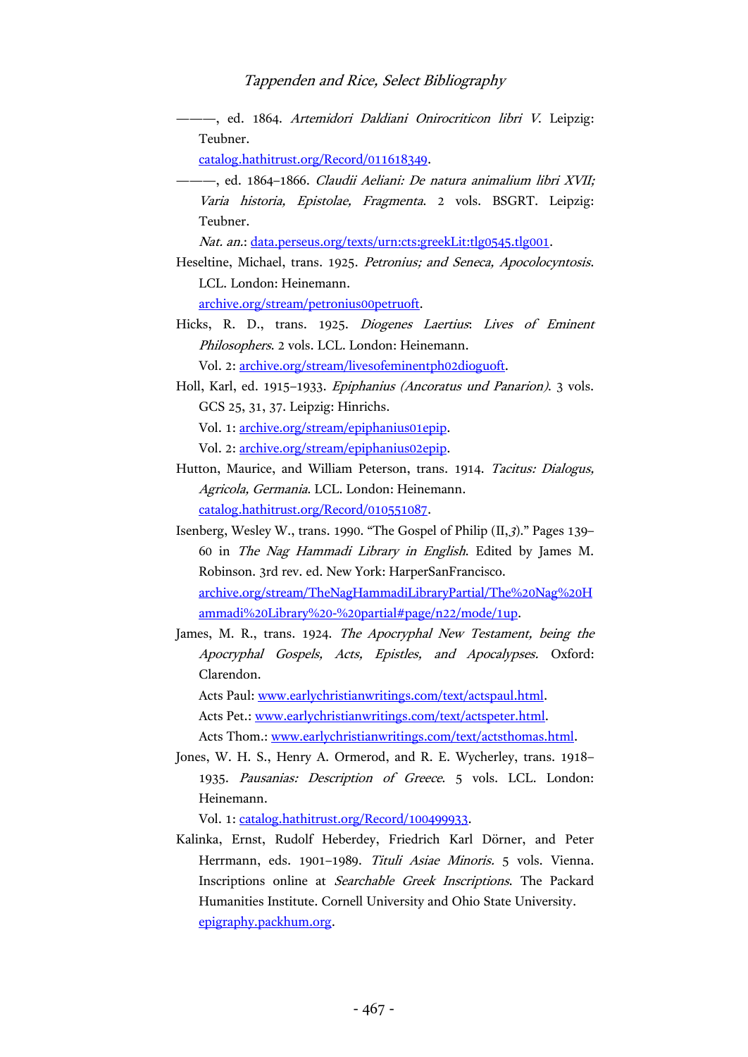———, ed. 1864. Artemidori Daldiani Onirocriticon libri V. Leipzig: Teubner.

[catalog.hathitrust.org/Record/011618349.](https://catalog.hathitrust.org/Record/011618349)

———, ed. 1864–1866. Claudii Aeliani: De natura animalium libri XVII; Varia historia, Epistolae, Fragmenta. 2 vols. BSGRT. Leipzig: Teubner.

Nat. an.: [data.perseus.org/texts/urn:cts:greekLit:tlg0545.tlg001.](http://data.perseus.org/texts/urn:cts:greekLit:tlg0545.tlg001)

- Heseltine, Michael, trans. 1925. Petronius; and Seneca, Apocolocyntosis. LCL. London: Heinemann. [archive.org/stream/petronius00petruoft.](https://archive.org/stream/petronius00petruoft)
- Hicks, R. D., trans. 1925. Diogenes Laertius: Lives of Eminent Philosophers. 2 vols. LCL. London: Heinemann.

Vol. 2: [archive.org/stream/livesofeminentph02dioguoft.](https://archive.org/stream/livesofeminentph02dioguoft)

Holl, Karl, ed. 1915–1933. Epiphanius (Ancoratus und Panarion). 3 vols. GCS 25, 31, 37. Leipzig: Hinrichs.

Vol. 1: [archive.org/stream/epiphanius01epip.](https://archive.org/stream/epiphanius01epip)

Vol. 2: [archive.org/stream/epiphanius02epip.](https://archive.org/stream/epiphanius02epip)

- Hutton, Maurice, and William Peterson, trans. 1914. Tacitus: Dialogus, Agricola, Germania. LCL. London: Heinemann. [catalog.hathitrust.org/Record/010551087.](https://catalog.hathitrust.org/Record/010551087)
- Isenberg, Wesley W., trans. 1990. "The Gospel of Philip (II,3)." Pages 139– 60 in The Nag Hammadi Library in English. Edited by James M. Robinson. 3rd rev. ed. New York: HarperSanFrancisco. [archive.org/stream/TheNagHammadiLibraryPartial/The%20Nag%20H](https://archive.org/stream/TheNagHammadiLibraryPartial/The%20Nag%20Hammadi%20Library%20-%20partial) [ammadi%20Library%20-%20partial#page/n22/mode/1up.](https://archive.org/stream/TheNagHammadiLibraryPartial/The%20Nag%20Hammadi%20Library%20-%20partial)
- James, M. R., trans. 1924. The Apocryphal New Testament, being the Apocryphal Gospels, Acts, Epistles, and Apocalypses. Oxford: Clarendon.

Acts Paul: [www.earlychristianwritings.com/text/actspaul.html.](http://www.earlychristianwritings.com/text/actspaul.html) Acts Pet.: [www.earlychristianwritings.com/text/actspeter.html.](http://www.earlychristianwritings.com/text/actspeter.html) Acts Thom.: [www.earlychristianwritings.com/text/actsthomas.html.](http://www.earlychristianwritings.com/text/actsthomas.html)

Jones, W. H. S., Henry A. Ormerod, and R. E. Wycherley, trans. 1918– 1935. Pausanias: Description of Greece. 5 vols. LCL. London: Heinemann.

Vol. 1: [catalog.hathitrust.org/Record/100499933.](https://catalog.hathitrust.org/Record/100499933)

Kalinka, Ernst, Rudolf Heberdey, Friedrich Karl Dörner, and Peter Herrmann, eds. 1901–1989. Tituli Asiae Minoris. 5 vols. Vienna. Inscriptions online at Searchable Greek Inscriptions. The Packard Humanities Institute. Cornell University and Ohio State University. [epigraphy.packhum.org.](http://epigraphy.packhum.org/)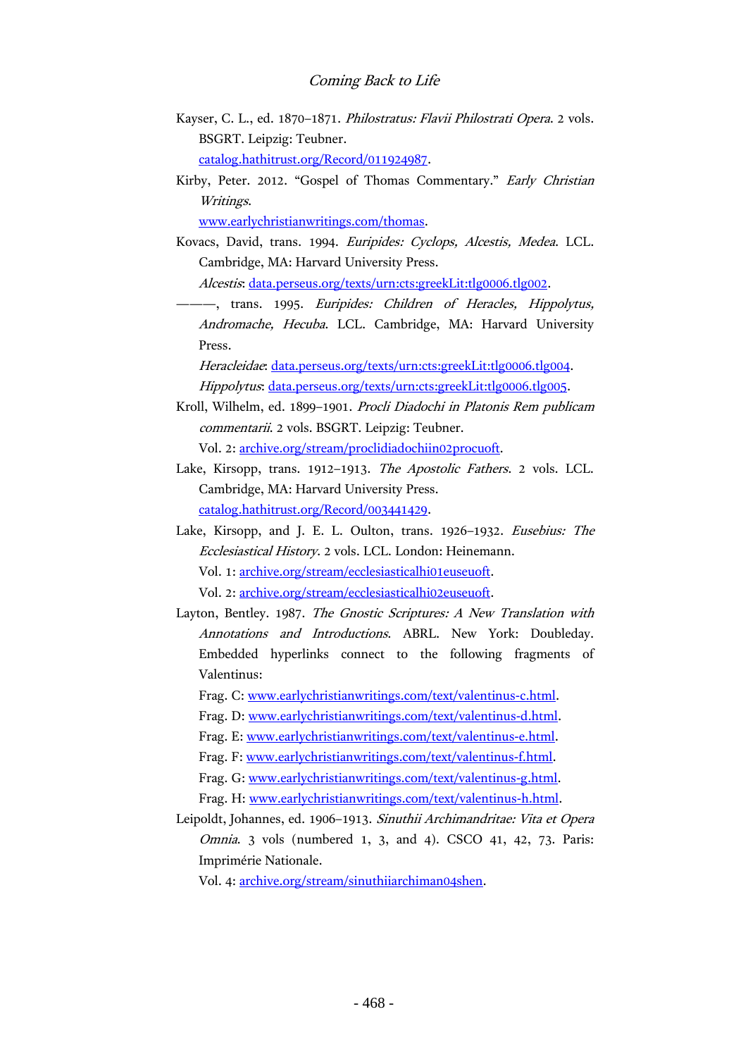- Kayser, C. L., ed. 1870–1871. Philostratus: Flavii Philostrati Opera. 2 vols. BSGRT. Leipzig: Teubner. [catalog.hathitrust.org/Record/011924987.](https://catalog.hathitrust.org/Record/011924987)
- Kirby, Peter. 2012. "Gospel of Thomas Commentary." Early Christian Writings.

[www.earlychristianwritings.com/thomas.](http://www.earlychristianwritings.com/thomas)

Kovacs, David, trans. 1994. Euripides: Cyclops, Alcestis, Medea. LCL. Cambridge, MA: Harvard University Press.

Alcestis: [data.perseus.org/texts/urn:cts:greekLit:tlg0006.tlg002.](http://data.perseus.org/texts/urn:cts:greekLit:tlg0006.tlg002)

-, trans. 1995. Euripides: Children of Heracles, Hippolytus, Andromache, Hecuba. LCL. Cambridge, MA: Harvard University Press.

Heracleidae: [data.perseus.org/texts/urn:cts:greekLit:tlg0006.tlg004.](http://data.perseus.org/texts/urn:cts:greekLit:tlg0006.tlg004) Hippolytus: [data.perseus.org/texts/urn:cts:greekLit:tlg0006.tlg005.](http://data.perseus.org/texts/urn:cts:greekLit:tlg0006.tlg005)

Kroll, Wilhelm, ed. 1899–1901. Procli Diadochi in Platonis Rem publicam commentarii. 2 vols. BSGRT. Leipzig: Teubner. Vol. 2: [archive.org/stream/proclidiadochiin02procuoft.](https://archive.org/stream/proclidiadochiin02procuoft)

Lake, Kirsopp, trans. 1912–1913. The Apostolic Fathers. 2 vols. LCL. Cambridge, MA: Harvard University Press. [catalog.hathitrust.org/Record/003441429.](http://catalog.hathitrust.org/Record/003441429)

Lake, Kirsopp, and J. E. L. Oulton, trans. 1926–1932. Eusebius: The Ecclesiastical History. 2 vols. LCL. London: Heinemann. Vol. 1: [archive.org/stream/ecclesiasticalhi01euseuoft.](https://archive.org/stream/ecclesiasticalhi01euseuoft) Vol. 2: [archive.org/stream/ecclesiasticalhi02euseuoft.](https://archive.org/stream/ecclesiasticalhi02euseuoft)

Layton, Bentley. 1987. The Gnostic Scriptures: A New Translation with Annotations and Introductions. ABRL. New York: Doubleday. Embedded hyperlinks connect to the following fragments of Valentinus:

Frag. C: [www.earlychristianwritings.com/text/valentinus-c.html.](http://www.earlychristianwritings.com/text/valentinus-c.html)

- Frag. D: [www.earlychristianwritings.com/text/valentinus-d.html.](http://www.earlychristianwritings.com/text/valentinus-d.html)
- Frag. E: [www.earlychristianwritings.com/text/valentinus-e.html.](http://www.earlychristianwritings.com/text/valentinus-e.html)
- Frag. F: [www.earlychristianwritings.com/text/valentinus-f.html.](http://www.earlychristianwritings.com/text/valentinus-f.html)
- Frag. G: [www.earlychristianwritings.com/text/valentinus-g.html.](http://www.earlychristianwritings.com/text/valentinus-g.html)
- Frag. H: [www.earlychristianwritings.com/text/valentinus-h.html.](http://www.earlychristianwritings.com/text/valentinus-h.html)
- Leipoldt, Johannes, ed. 1906–1913. Sinuthii Archimandritae: Vita et Opera Omnia. 3 vols (numbered 1, 3, and 4). CSCO 41, 42, 73. Paris: Imprimérie Nationale.

Vol. 4: [archive.org/stream/sinuthiiarchiman04shen.](https://archive.org/stream/sinuthiiarchiman04shen)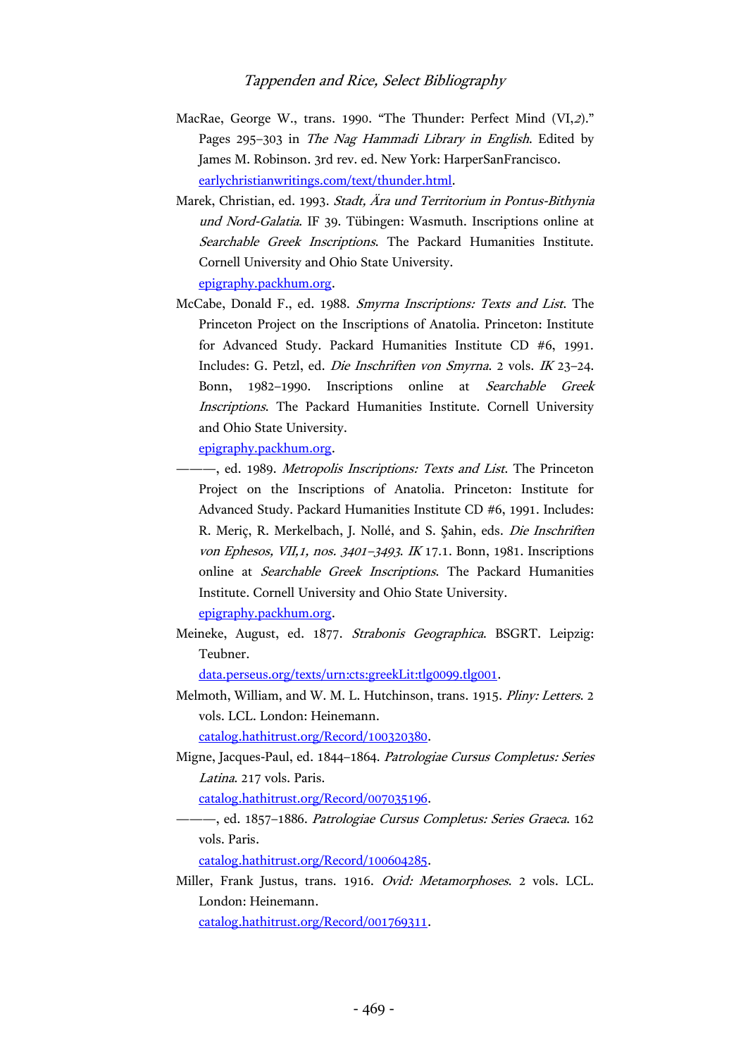- MacRae, George W., trans. 1990. "The Thunder: Perfect Mind (VI,2)." Pages 295–303 in The Nag Hammadi Library in English. Edited by James M. Robinson. 3rd rev. ed. New York: HarperSanFrancisco. [earlychristianwritings.com/text/thunder.html.](http://earlychristianwritings.com/text/thunder.html)
- Marek, Christian, ed. 1993. Stadt, Ära und Territorium in Pontus-Bithynia und Nord-Galatia. IF 39. Tübingen: Wasmuth. Inscriptions online at Searchable Greek Inscriptions. The Packard Humanities Institute. Cornell University and Ohio State University. [epigraphy.packhum.org.](http://epigraphy.packhum.org/)
- McCabe, Donald F., ed. 1988. Smyrna Inscriptions: Texts and List. The Princeton Project on the Inscriptions of Anatolia. Princeton: Institute for Advanced Study. Packard Humanities Institute CD #6, 1991. Includes: G. Petzl, ed. Die Inschriften von Smyrna. 2 vols. IK 23–24. Bonn, 1982–1990. Inscriptions online at Searchable Greek Inscriptions. The Packard Humanities Institute. Cornell University and Ohio State University.

[epigraphy.packhum.org.](http://epigraphy.packhum.org/)

- -, ed. 1989. Metropolis Inscriptions: Texts and List. The Princeton Project on the Inscriptions of Anatolia. Princeton: Institute for Advanced Study. Packard Humanities Institute CD #6, 1991. Includes: R. Meriç, R. Merkelbach, J. Nollé, and S. Şahin, eds. Die Inschriften von Ephesos, VII,1, nos. 3401–<sup>3493</sup>. IK 17.1. Bonn, 1981. Inscriptions online at Searchable Greek Inscriptions. The Packard Humanities Institute. Cornell University and Ohio State University. [epigraphy.packhum.org.](http://epigraphy.packhum.org/)
- Meineke, August, ed. 1877. Strabonis Geographica. BSGRT. Leipzig: Teubner.

[data.perseus.org/texts/urn:cts:greekLit:tlg0099.tlg001.](http://data.perseus.org/texts/urn:cts:greekLit:tlg0099.tlg001)

Melmoth, William, and W. M. L. Hutchinson, trans. 1915. Pliny: Letters. 2 vols. LCL. London: Heinemann.

[catalog.hathitrust.org/Record/100320380.](https://catalog.hathitrust.org/Record/100320380)

Migne, Jacques-Paul, ed. 1844–1864. Patrologiae Cursus Completus: Series Latina. 217 vols. Paris.

[catalog.hathitrust.org/Record/007035196.](http://catalog.hathitrust.org/Record/007035196)

-, ed. 1857-1886. Patrologiae Cursus Completus: Series Graeca. 162 vols. Paris.

[catalog.hathitrust.org/Record/100604285.](https://catalog.hathitrust.org/Record/100604285)

Miller, Frank Justus, trans. 1916. Ovid: Metamorphoses. 2 vols. LCL. London: Heinemann.

[catalog.hathitrust.org/Record/001769311.](https://catalog.hathitrust.org/Record/001769311)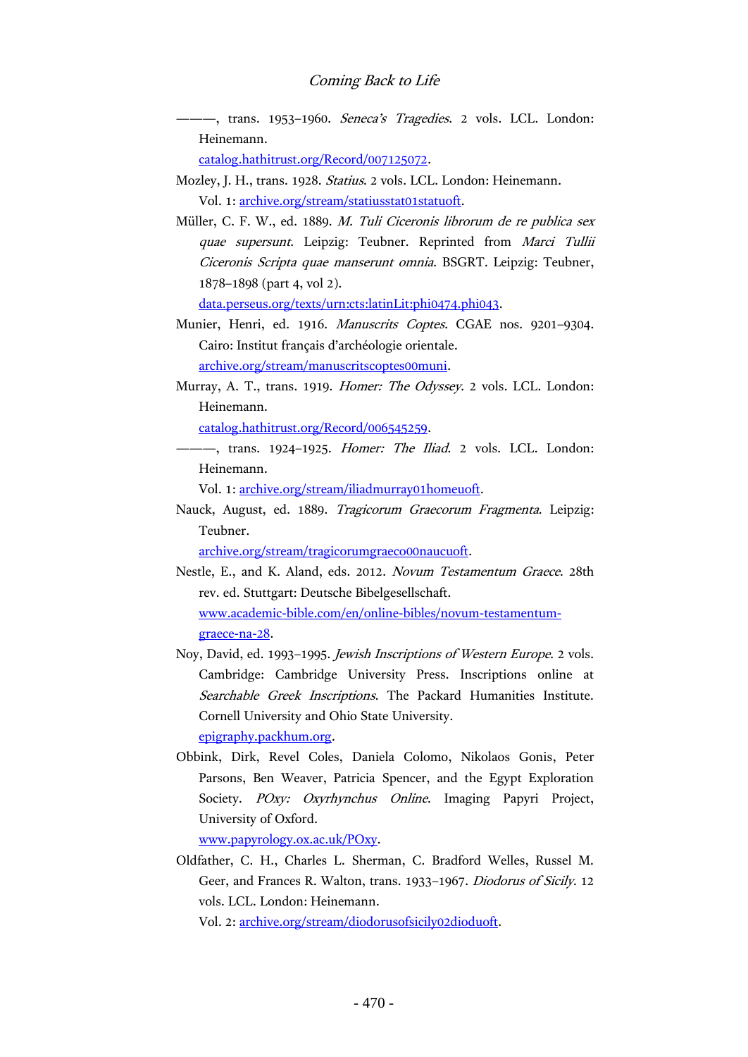——, trans. 1953–1960. *Seneca's Tragedies*. 2 vols. LCL. London: Heinemann.

[catalog.hathitrust.org/Record/007125072.](https://catalog.hathitrust.org/Record/007125072)

- Mozley, J. H., trans. 1928. Statius. 2 vols. LCL. London: Heinemann. Vol. 1: [archive.org/stream/statiusstat01statuoft.](https://archive.org/stream/statiusstat01statuoft)
- Müller, C. F. W., ed. 1889. M. Tuli Ciceronis librorum de re publica sex quae supersunt. Leipzig: Teubner. Reprinted from Marci Tullii Ciceronis Scripta quae manserunt omnia. BSGRT. Leipzig: Teubner, 1878–1898 (part 4, vol 2).

[data.perseus.org/texts/urn:cts:latinLit:phi0474.phi043.](http://data.perseus.org/texts/urn:cts:latinLit:phi0474.phi043)

- Munier, Henri, ed. 1916. Manuscrits Coptes. CGAE nos. 9201–9304. Cairo: Institut français d'archéologie orientale. [archive.org/stream/manuscritscoptes00muni.](https://archive.org/stream/manuscritscoptes00muni)
- Murray, A. T., trans. 1919. Homer: The Odyssey. 2 vols. LCL. London: Heinemann.

[catalog.hathitrust.org/Record/006545259.](https://catalog.hathitrust.org/Record/006545259)

-, trans. 1924-1925. Homer: The Iliad. 2 vols. LCL. London: Heinemann.

Vol. 1: [archive.org/stream/iliadmurray01homeuoft.](https://archive.org/stream/iliadmurray01homeuoft)

Nauck, August, ed. 1889. Tragicorum Graecorum Fragmenta. Leipzig: Teubner.

[archive.org/stream/tragicorumgraeco00naucuoft.](https://archive.org/stream/tragicorumgraeco00naucuoft)

- Nestle, E., and K. Aland, eds. 2012. Novum Testamentum Graece. 28th rev. ed. Stuttgart: Deutsche Bibelgesellschaft. [www.academic-bible.com/en/online-bibles/novum-testamentum](http://www.academic-bible.com/en/online-bibles/novum-testamentum-graece-na-28)[graece-na-28.](http://www.academic-bible.com/en/online-bibles/novum-testamentum-graece-na-28)
- Noy, David, ed. 1993–1995. Jewish Inscriptions of Western Europe. 2 vols. Cambridge: Cambridge University Press. Inscriptions online at Searchable Greek Inscriptions. The Packard Humanities Institute. Cornell University and Ohio State University. [epigraphy.packhum.org.](http://epigraphy.packhum.org/)
- Obbink, Dirk, Revel Coles, Daniela Colomo, Nikolaos Gonis, Peter Parsons, Ben Weaver, Patricia Spencer, and the Egypt Exploration Society. POxy: Oxyrhynchus Online. Imaging Papyri Project, University of Oxford.

[www.papyrology.ox.ac.uk/POxy.](http://www.papyrology.ox.ac.uk/POxy/)

Oldfather, C. H., Charles L. Sherman, C. Bradford Welles, Russel M. Geer, and Frances R. Walton, trans. 1933–1967. Diodorus of Sicily. 12 vols. LCL. London: Heinemann.

Vol. 2: [archive.org/stream/diodorusofsicily02dioduoft.](https://archive.org/stream/diodorusofsicily02dioduoft)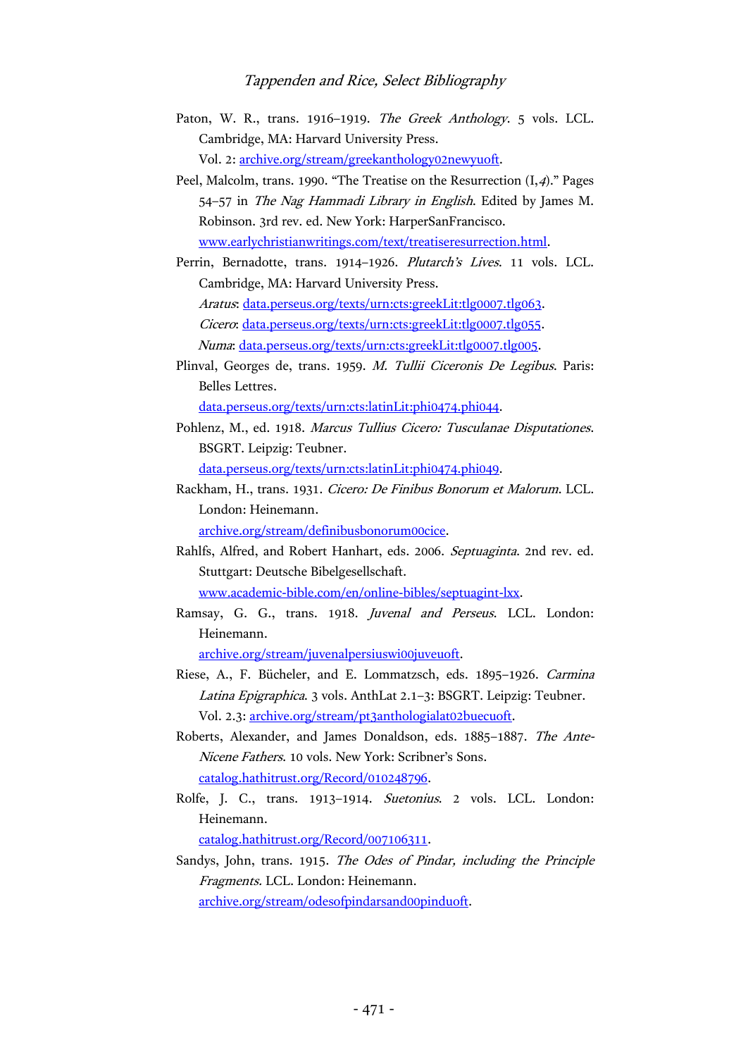- Paton, W. R., trans. 1916–1919. The Greek Anthology. 5 vols. LCL. Cambridge, MA: Harvard University Press. Vol. 2: [archive.org/stream/greekanthology02newyuoft.](https://archive.org/stream/greekanthology02newyuoft)
- Peel, Malcolm, trans. 1990. "The Treatise on the Resurrection (I,4)." Pages 54–57 in The Nag Hammadi Library in English. Edited by James M. Robinson. 3rd rev. ed. New York: HarperSanFrancisco. [www.earlychristianwritings.com/text/treatiseresurrection.html.](http://www.earlychristianwritings.com/text/treatiseresurrection.html)
- Perrin, Bernadotte, trans. 1914–1926. Plutarch's Lives. 11 vols. LCL. Cambridge, MA: Harvard University Press. Aratus: [data.perseus.org/texts/urn:cts:greekLit:tlg0007.tlg063.](http://data.perseus.org/texts/urn:cts:greekLit:tlg0007.tlg063) Cicero: [data.perseus.org/texts/urn:cts:greekLit:tlg0007.tlg055.](http://data.perseus.org/texts/urn:cts:greekLit:tlg0007.tlg055) Numa: [data.perseus.org/texts/urn:cts:greekLit:tlg0007.tlg005.](http://data.perseus.org/texts/urn:cts:greekLit:tlg0007.tlg005)
- Plinval, Georges de, trans. 1959. M. Tullii Ciceronis De Legibus. Paris: Belles Lettres.

[data.perseus.org/texts/urn:cts:latinLit:phi0474.phi044.](http://data.perseus.org/texts/urn:cts:latinLit:phi0474.phi044)

- Pohlenz, M., ed. 1918. Marcus Tullius Cicero: Tusculanae Disputationes. BSGRT. Leipzig: Teubner. [data.perseus.org/texts/urn:cts:latinLit:phi0474.phi049.](http://data.perseus.org/texts/urn:cts:latinLit:phi0474.phi049)
- Rackham, H., trans. 1931. Cicero: De Finibus Bonorum et Malorum. LCL. London: Heinemann. [archive.org/stream/definibusbonorum00cice.](https://archive.org/stream/definibusbonorum00cice)
- Rahlfs, Alfred, and Robert Hanhart, eds. 2006. Septuaginta. 2nd rev. ed. Stuttgart: Deutsche Bibelgesellschaft. [www.academic-bible.com/en/online-bibles/septuagint-lxx.](http://www.academic-bible.com/en/online-bibles/septuagint-lxx)
- Ramsay, G. G., trans. 1918. Juvenal and Perseus. LCL. London: Heinemann.

[archive.org/stream/juvenalpersiuswi00juveuoft.](https://archive.org/stream/juvenalpersiuswi00juveuoft)

- Riese, A., F. Bücheler, and E. Lommatzsch, eds. 1895–1926. Carmina Latina Epigraphica. 3 vols. AnthLat 2.1–3: BSGRT. Leipzig: Teubner. Vol. 2.3[: archive.org/stream/pt3anthologialat02buecuoft.](https://archive.org/stream/pt3anthologialat02buecuoft)
- Roberts, Alexander, and James Donaldson, eds. 1885–1887. The Ante-Nicene Fathers. 10 vols. New York: Scribner's Sons. [catalog.hathitrust.org/Record/010248796.](http://catalog.hathitrust.org/Record/010248796)
- Rolfe, J. C., trans. 1913–1914. Suetonius. 2 vols. LCL. London: Heinemann.

[catalog.hathitrust.org/Record/007106311.](https://catalog.hathitrust.org/Record/007106311)

Sandys, John, trans. 1915. The Odes of Pindar, including the Principle Fragments. LCL. London: Heinemann. [archive.org/stream/odesofpindarsand00pinduoft.](https://archive.org/stream/odesofpindarsand00pinduoft)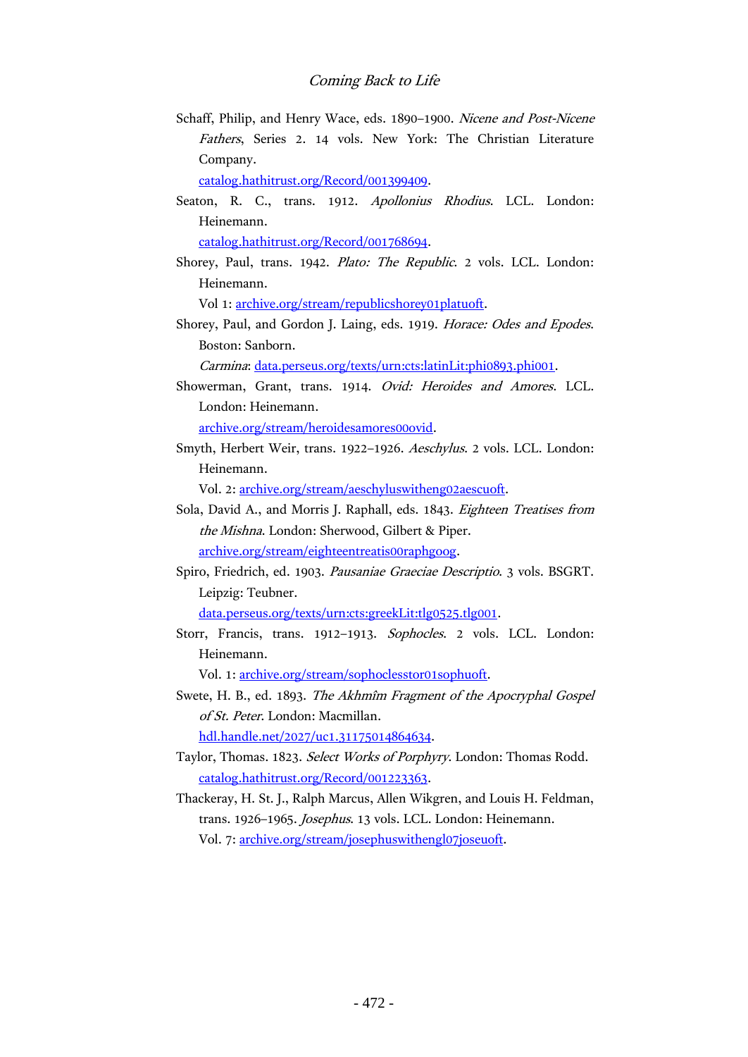Schaff, Philip, and Henry Wace, eds. 1890–1900. Nicene and Post-Nicene Fathers, Series 2. 14 vols. New York: The Christian Literature Company.

[catalog.hathitrust.org/Record/001399409.](https://catalog.hathitrust.org/Record/001399409)

Seaton, R. C., trans. 1912. Apollonius Rhodius. LCL. London: Heinemann.

[catalog.hathitrust.org/Record/001768694.](https://catalog.hathitrust.org/Record/001768694)

Shorey, Paul, trans. 1942. Plato: The Republic. 2 vols. LCL. London: Heinemann.

Vol 1: [archive.org/stream/republicshorey01platuoft.](https://archive.org/stream/republicshorey01platuoft)

Shorey, Paul, and Gordon J. Laing, eds. 1919. Horace: Odes and Epodes. Boston: Sanborn.

Carmina: [data.perseus.org/texts/urn:cts:latinLit:phi0893.phi001.](http://data.perseus.org/texts/urn:cts:latinLit:phi0893.phi001)

Showerman, Grant, trans. 1914. Ovid: Heroides and Amores. LCL. London: Heinemann.

[archive.org/stream/heroidesamores00ovid.](https://archive.org/stream/heroidesamores00ovid)

Smyth, Herbert Weir, trans. 1922–1926. Aeschylus. 2 vols. LCL. London: Heinemann.

Vol. 2: [archive.org/stream/aeschyluswitheng02aescuoft.](https://archive.org/stream/aeschyluswitheng02aescuoft)

- Sola, David A., and Morris J. Raphall, eds. 1843. Eighteen Treatises from the Mishna. London: Sherwood, Gilbert & Piper. [archive.org/stream/eighteentreatis00raphgoog.](https://archive.org/stream/eighteentreatis00raphgoog)
- Spiro, Friedrich, ed. 1903. Pausaniae Graeciae Descriptio. 3 vols. BSGRT. Leipzig: Teubner.

[data.perseus.org/texts/urn:cts:greekLit:tlg0525.tlg001.](http://data.perseus.org/texts/urn:cts:greekLit:tlg0525.tlg001)

Storr, Francis, trans. 1912–1913. Sophocles. 2 vols. LCL. London: Heinemann.

Vol. 1: [archive.org/stream/sophoclesstor01sophuoft.](https://archive.org/stream/sophoclesstor01sophuoft)

- Swete, H. B., ed. 1893. The Akhmîm Fragment of the Apocryphal Gospel of St. Peter. London: Macmillan. [hdl.handle.net/2027/uc1.31175014864634.](http://hdl.handle.net/2027/uc1.31175014864634)
- Taylor, Thomas. 1823. Select Works of Porphyry. London: Thomas Rodd. [catalog.hathitrust.org/Record/001223363.](https://catalog.hathitrust.org/Record/001223363)
- Thackeray, H. St. J., Ralph Marcus, Allen Wikgren, and Louis H. Feldman, trans. 1926–1965. Josephus. 13 vols. LCL. London: Heinemann. Vol. 7: [archive.org/stream/josephuswithengl07joseuoft.](https://archive.org/stream/josephuswithengl07joseuoft)